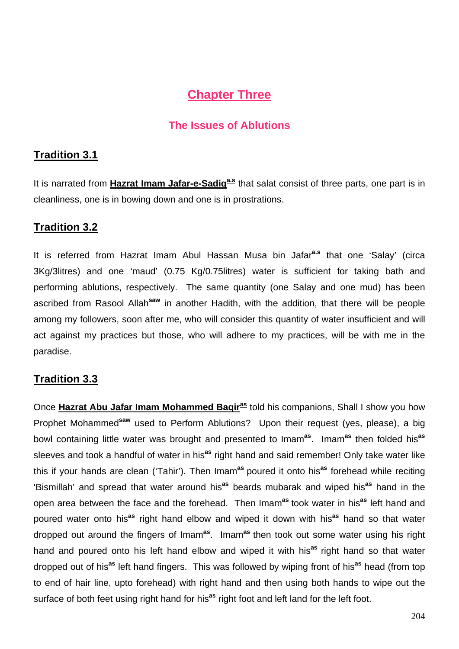# **Chapter Three**

## **The Issues of Ablutions**

## **Tradition 3.1**

It is narrated from **Hazrat Imam Jafar-e-Sadiq<sup>a.s</sup>** that salat consist of three parts, one part is in cleanliness, one is in bowing down and one is in prostrations.

## **Tradition 3.2**

It is referred from Hazrat Imam Abul Hassan Musa bin Jafar**a.s** that one 'Salay' (circa 3Kg/3litres) and one 'maud' (0.75 Kg/0.75litres) water is sufficient for taking bath and performing ablutions, respectively. The same quantity (one Salay and one mud) has been ascribed from Rasool Allah**saw** in another Hadith, with the addition, that there will be people among my followers, soon after me, who will consider this quantity of water insufficient and will act against my practices but those, who will adhere to my practices, will be with me in the paradise.

## **Tradition 3.3**

Once **Hazrat Abu Jafar Imam Mohammed Baqiras** told his companions, Shall I show you how Prophet Mohammed**saw** used to Perform Ablutions? Upon their request (yes, please), a big bowl containing little water was brought and presented to Imam**as**. Imam**as** then folded his**as** sleeves and took a handful of water in his**as** right hand and said remember! Only take water like this if your hands are clean ('Tahir'). Then Imam**as** poured it onto his**as** forehead while reciting 'Bismillah' and spread that water around his**as** beards mubarak and wiped his**as** hand in the open area between the face and the forehead. Then Imam**as** took water in his**as** left hand and poured water onto his**as** right hand elbow and wiped it down with his**as** hand so that water dropped out around the fingers of Imam**as**. Imam**as** then took out some water using his right hand and poured onto his left hand elbow and wiped it with his**as** right hand so that water dropped out of his**as** left hand fingers. This was followed by wiping front of his**as** head (from top to end of hair line, upto forehead) with right hand and then using both hands to wipe out the surface of both feet using right hand for his<sup>as</sup> right foot and left land for the left foot.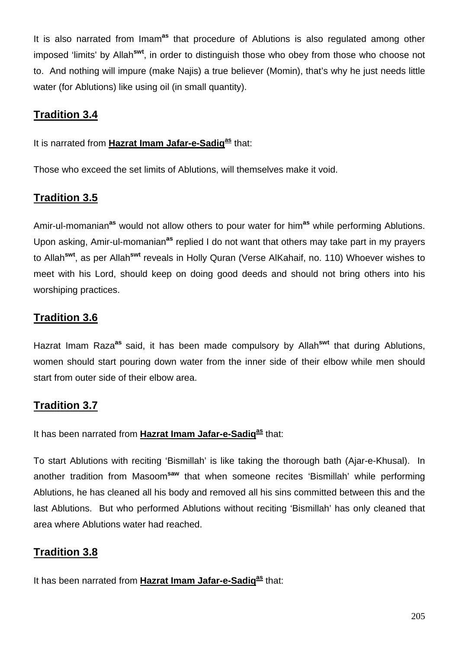It is also narrated from Imam**as** that procedure of Ablutions is also regulated among other imposed 'limits' by Allah**swt**, in order to distinguish those who obey from those who choose not to. And nothing will impure (make Najis) a true believer (Momin), that's why he just needs little water (for Ablutions) like using oil (in small quantity).

## **Tradition 3.4**

#### It is narrated from **Hazrat Imam Jafar-e-Sadiq<sup>as</sup> that:**

Those who exceed the set limits of Ablutions, will themselves make it void.

## **Tradition 3.5**

Amir-ul-momanian**as** would not allow others to pour water for him**as** while performing Ablutions. Upon asking, Amir-ul-momanian**as** replied I do not want that others may take part in my prayers to Allah**swt**, as per Allah**swt** reveals in Holly Quran (Verse AlKahaif, no. 110) Whoever wishes to meet with his Lord, should keep on doing good deeds and should not bring others into his worshiping practices.

## **Tradition 3.6**

Hazrat Imam Raza**as** said, it has been made compulsory by Allah**swt** that during Ablutions, women should start pouring down water from the inner side of their elbow while men should start from outer side of their elbow area.

## **Tradition 3.7**

It has been narrated from Hazrat Imam Jafar-e-Sadiq<sup>as</sup> that:

To start Ablutions with reciting 'Bismillah' is like taking the thorough bath (Ajar-e-Khusal). In another tradition from Masoom**saw** that when someone recites 'Bismillah' while performing Ablutions, he has cleaned all his body and removed all his sins committed between this and the last Ablutions. But who performed Ablutions without reciting 'Bismillah' has only cleaned that area where Ablutions water had reached.

# **Tradition 3.8**

It has been narrated from **Hazrat Imam Jafar-e-Sadig<sup>as</sup> that:**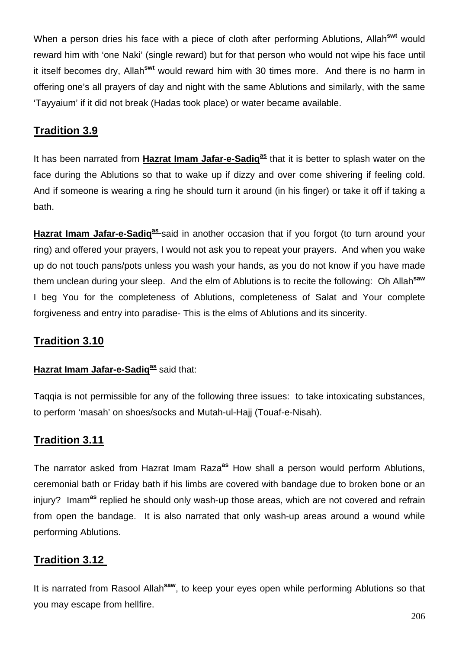When a person dries his face with a piece of cloth after performing Ablutions, Allah**swt** would reward him with 'one Naki' (single reward) but for that person who would not wipe his face until it itself becomes dry, Allah**swt** would reward him with 30 times more. And there is no harm in offering one's all prayers of day and night with the same Ablutions and similarly, with the same 'Tayyaium' if it did not break (Hadas took place) or water became available.

## **Tradition 3.9**

It has been narrated from **Hazrat Imam Jafar-e-Sadiq<sup>as</sup> that it is better to splash water on the** face during the Ablutions so that to wake up if dizzy and over come shivering if feeling cold. And if someone is wearing a ring he should turn it around (in his finger) or take it off if taking a bath.

Hazrat Imam Jafar-e-Sadiq<sup>as</sup> said in another occasion that if you forgot (to turn around your ring) and offered your prayers, I would not ask you to repeat your prayers. And when you wake up do not touch pans/pots unless you wash your hands, as you do not know if you have made them unclean during your sleep. And the elm of Ablutions is to recite the following: Oh Allah**saw** I beg You for the completeness of Ablutions, completeness of Salat and Your complete forgiveness and entry into paradise- This is the elms of Ablutions and its sincerity.

## **Tradition 3.10**

#### **Hazrat Imam Jafar-e-Sadig<sup>as</sup> said that:**

Taqqia is not permissible for any of the following three issues: to take intoxicating substances, to perform 'masah' on shoes/socks and Mutah-ul-Hajj (Touaf-e-Nisah).

#### **Tradition 3.11**

The narrator asked from Hazrat Imam Raza**as** How shall a person would perform Ablutions, ceremonial bath or Friday bath if his limbs are covered with bandage due to broken bone or an injury? Imam**as** replied he should only wash-up those areas, which are not covered and refrain from open the bandage. It is also narrated that only wash-up areas around a wound while performing Ablutions.

#### **Tradition 3.12**

It is narrated from Rasool Allah**saw**, to keep your eyes open while performing Ablutions so that you may escape from hellfire.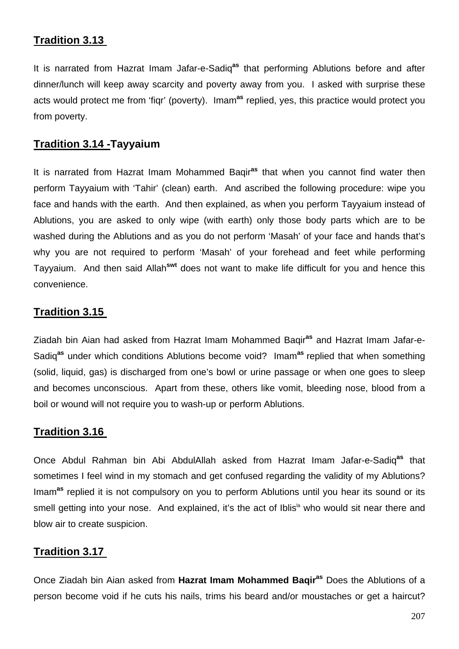## **Tradition 3.13**

It is narrated from Hazrat Imam Jafar-e-Sadiq**as** that performing Ablutions before and after dinner/lunch will keep away scarcity and poverty away from you. I asked with surprise these acts would protect me from 'fiqr' (poverty). Imam**as** replied, yes, this practice would protect you from poverty.

#### **Tradition 3.14 -Tayyaium**

It is narrated from Hazrat Imam Mohammed Baqir**as** that when you cannot find water then perform Tayyaium with 'Tahir' (clean) earth. And ascribed the following procedure: wipe you face and hands with the earth. And then explained, as when you perform Tayyaium instead of Ablutions, you are asked to only wipe (with earth) only those body parts which are to be washed during the Ablutions and as you do not perform 'Masah' of your face and hands that's why you are not required to perform 'Masah' of your forehead and feet while performing Tayyaium. And then said Allah**swt** does not want to make life difficult for you and hence this convenience.

#### **Tradition 3.15**

Ziadah bin Aian had asked from Hazrat Imam Mohammed Baqir**as** and Hazrat Imam Jafar-e-Sadiq**as** under which conditions Ablutions become void? Imam**as** replied that when something (solid, liquid, gas) is discharged from one's bowl or urine passage or when one goes to sleep and becomes unconscious. Apart from these, others like vomit, bleeding nose, blood from a boil or wound will not require you to wash-up or perform Ablutions.

#### **Tradition 3.16**

Once Abdul Rahman bin Abi AbdulAllah asked from Hazrat Imam Jafar-e-Sadiq**as** that sometimes I feel wind in my stomach and get confused regarding the validity of my Ablutions? Imam**as** replied it is not compulsory on you to perform Ablutions until you hear its sound or its smell getting into your nose. And explained, it's the act of Iblis<sup>ta</sup> who would sit near there and blow air to create suspicion.

#### **Tradition 3.17**

Once Ziadah bin Aian asked from **Hazrat Imam Mohammed Baqiras** Does the Ablutions of a person become void if he cuts his nails, trims his beard and/or moustaches or get a haircut?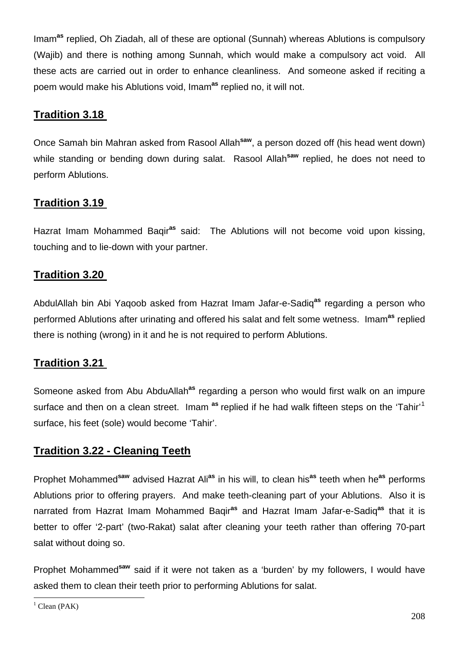Imam**as** replied, Oh Ziadah, all of these are optional (Sunnah) whereas Ablutions is compulsory (Wajib) and there is nothing among Sunnah, which would make a compulsory act void. All these acts are carried out in order to enhance cleanliness. And someone asked if reciting a poem would make his Ablutions void, Imam**as** replied no, it will not.

## **Tradition 3.18**

Once Samah bin Mahran asked from Rasool Allah**saw**, a person dozed off (his head went down) while standing or bending down during salat. Rasool Allah<sup>saw</sup> replied, he does not need to perform Ablutions.

## **Tradition 3.19**

Hazrat Imam Mohammed Baqir**as** said: The Ablutions will not become void upon kissing, touching and to lie-down with your partner.

#### **Tradition 3.20**

AbdulAllah bin Abi Yaqoob asked from Hazrat Imam Jafar-e-Sadiq**as** regarding a person who performed Ablutions after urinating and offered his salat and felt some wetness. Imam**as** replied there is nothing (wrong) in it and he is not required to perform Ablutions.

#### **Tradition 3.21**

Someone asked from Abu AbduAllah**as** regarding a person who would first walk on an impure surface and then on a clean street. Imam **as** replied if he had walk fifteen steps on the 'Tahir'[1](#page-4-0) surface, his feet (sole) would become 'Tahir'.

#### **Tradition 3.22 - Cleaning Teeth**

Prophet Mohammed**saw** advised Hazrat Ali**as** in his will, to clean his**as** teeth when he**as** performs Ablutions prior to offering prayers. And make teeth-cleaning part of your Ablutions. Also it is narrated from Hazrat Imam Mohammed Baqir**as** and Hazrat Imam Jafar-e-Sadiq**as** that it is better to offer '2-part' (two-Rakat) salat after cleaning your teeth rather than offering 70-part salat without doing so.

Prophet Mohammed**saw** said if it were not taken as a 'burden' by my followers, I would have asked them to clean their teeth prior to performing Ablutions for salat.

 $\overline{a}$ 

<span id="page-4-0"></span> $<sup>1</sup>$  Clean (PAK)</sup>